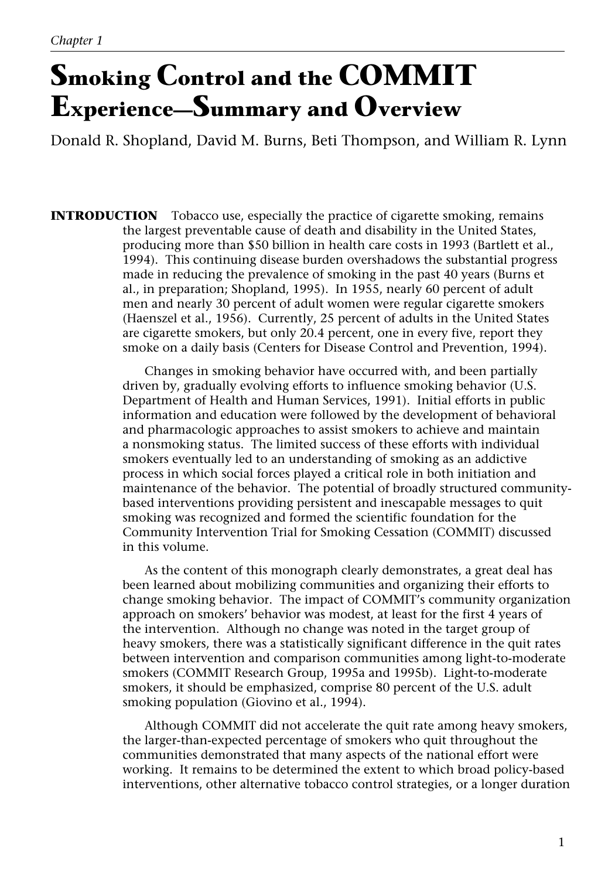# **Smoking Control and the COMMIT Experience—Summary and Overview**

Donald R. Shopland, David M. Burns, Beti Thompson, and William R. Lynn

**INTRODUCTION** Tobacco use, especially the practice of cigarette smoking, remains the largest preventable cause of death and disability in the United States, producing more than \$50 billion in health care costs in 1993 (Bartlett et al., 1994). This continuing disease burden overshadows the substantial progress made in reducing the prevalence of smoking in the past 40 years (Burns et al., in preparation; Shopland, 1995). In 1955, nearly 60 percent of adult men and nearly 30 percent of adult women were regular cigarette smokers (Haenszel et al., 1956). Currently, 25 percent of adults in the United States are cigarette smokers, but only 20.4 percent, one in every five, report they smoke on a daily basis (Centers for Disease Control and Prevention, 1994).

> Changes in smoking behavior have occurred with, and been partially driven by, gradually evolving efforts to influence smoking behavior (U.S. Department of Health and Human Services, 1991). Initial efforts in public information and education were followed by the development of behavioral and pharmacologic approaches to assist smokers to achieve and maintain a nonsmoking status. The limited success of these efforts with individual smokers eventually led to an understanding of smoking as an addictive process in which social forces played a critical role in both initiation and maintenance of the behavior. The potential of broadly structured communitybased interventions providing persistent and inescapable messages to quit smoking was recognized and formed the scientific foundation for the Community Intervention Trial for Smoking Cessation (COMMIT) discussed in this volume.

> As the content of this monograph clearly demonstrates, a great deal has been learned about mobilizing communities and organizing their efforts to change smoking behavior. The impact of COMMIT's community organization approach on smokers' behavior was modest, at least for the first 4 years of the intervention. Although no change was noted in the target group of heavy smokers, there was a statistically significant difference in the quit rates between intervention and comparison communities among light-to-moderate smokers (COMMIT Research Group, 1995a and 1995b). Light-to-moderate smokers, it should be emphasized, comprise 80 percent of the U.S. adult smoking population (Giovino et al., 1994).

> Although COMMIT did not accelerate the quit rate among heavy smokers, the larger-than-expected percentage of smokers who quit throughout the communities demonstrated that many aspects of the national effort were working. It remains to be determined the extent to which broad policy-based interventions, other alternative tobacco control strategies, or a longer duration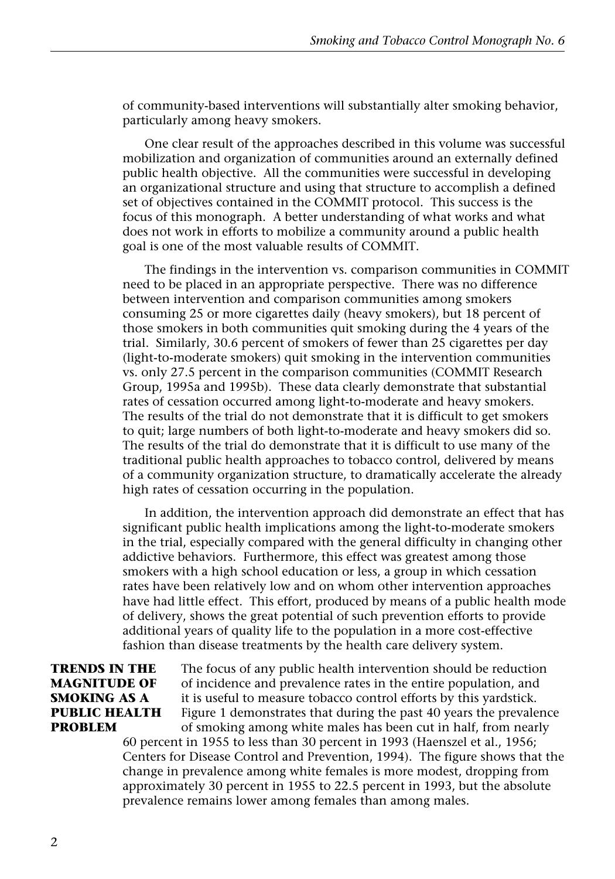of community-based interventions will substantially alter smoking behavior, particularly among heavy smokers.

One clear result of the approaches described in this volume was successful mobilization and organization of communities around an externally defined public health objective. All the communities were successful in developing an organizational structure and using that structure to accomplish a defined set of objectives contained in the COMMIT protocol. This success is the focus of this monograph. A better understanding of what works and what does not work in efforts to mobilize a community around a public health goal is one of the most valuable results of COMMIT.

The findings in the intervention vs. comparison communities in COMMIT need to be placed in an appropriate perspective. There was no difference between intervention and comparison communities among smokers consuming 25 or more cigarettes daily (heavy smokers), but 18 percent of those smokers in both communities quit smoking during the 4 years of the trial. Similarly, 30.6 percent of smokers of fewer than 25 cigarettes per day (light-to-moderate smokers) quit smoking in the intervention communities vs. only 27.5 percent in the comparison communities (COMMIT Research Group, 1995a and 1995b). These data clearly demonstrate that substantial rates of cessation occurred among light-to-moderate and heavy smokers. The results of the trial do not demonstrate that it is difficult to get smokers to quit; large numbers of both light-to-moderate and heavy smokers did so. The results of the trial do demonstrate that it is difficult to use many of the traditional public health approaches to tobacco control, delivered by means of a community organization structure, to dramatically accelerate the already high rates of cessation occurring in the population.

In addition, the intervention approach did demonstrate an effect that has significant public health implications among the light-to-moderate smokers in the trial, especially compared with the general difficulty in changing other addictive behaviors. Furthermore, this effect was greatest among those smokers with a high school education or less, a group in which cessation rates have been relatively low and on whom other intervention approaches have had little effect. This effort, produced by means of a public health mode of delivery, shows the great potential of such prevention efforts to provide additional years of quality life to the population in a more cost-effective fashion than disease treatments by the health care delivery system.

**TRENDS IN THE** The focus of any public health intervention should be reduction **MAGNITUDE OF** of incidence and prevalence rates in the entire population, and **SMOKING AS A** it is useful to measure tobacco control efforts by this yardstick. **PUBLIC HEALTH** Figure 1 demonstrates that during the past 40 years the prevalence **PROBLEM** of smoking among white males has been cut in half, from nearly

> 60 percent in 1955 to less than 30 percent in 1993 (Haenszel et al., 1956; Centers for Disease Control and Prevention, 1994). The figure shows that the change in prevalence among white females is more modest, dropping from approximately 30 percent in 1955 to 22.5 percent in 1993, but the absolute prevalence remains lower among females than among males.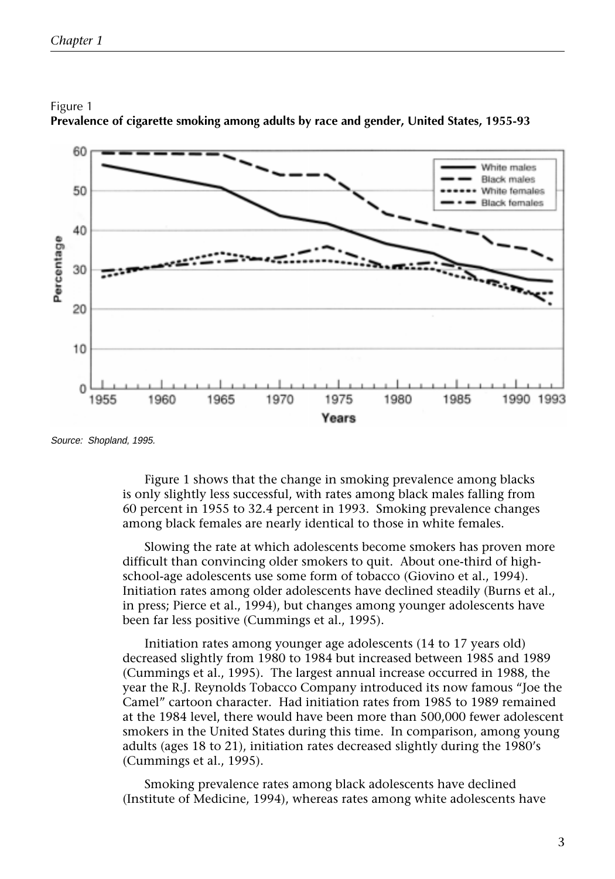

Figure 1 **Prevalence of cigarette smoking among adults by race and gender, United States, 1955-93**

Source: Shopland, 1995.

Figure 1 shows that the change in smoking prevalence among blacks is only slightly less successful, with rates among black males falling from 60 percent in 1955 to 32.4 percent in 1993. Smoking prevalence changes among black females are nearly identical to those in white females.

Slowing the rate at which adolescents become smokers has proven more difficult than convincing older smokers to quit. About one-third of highschool-age adolescents use some form of tobacco (Giovino et al., 1994). Initiation rates among older adolescents have declined steadily (Burns et al., in press; Pierce et al., 1994), but changes among younger adolescents have been far less positive (Cummings et al., 1995).

Initiation rates among younger age adolescents (14 to 17 years old) decreased slightly from 1980 to 1984 but increased between 1985 and 1989 (Cummings et al., 1995). The largest annual increase occurred in 1988, the year the R.J. Reynolds Tobacco Company introduced its now famous "Joe the Camel" cartoon character. Had initiation rates from 1985 to 1989 remained at the 1984 level, there would have been more than 500,000 fewer adolescent smokers in the United States during this time. In comparison, among young adults (ages 18 to 21), initiation rates decreased slightly during the 1980's (Cummings et al., 1995).

Smoking prevalence rates among black adolescents have declined (Institute of Medicine, 1994), whereas rates among white adolescents have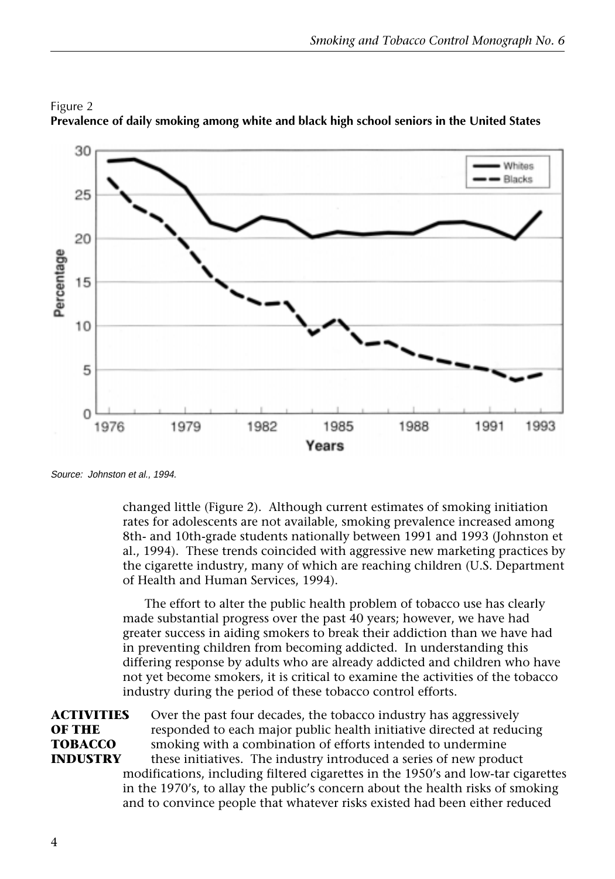

### Figure 2 **Prevalence of daily smoking among white and black high school seniors in the United States**

Source: Johnston et al., 1994.

changed little (Figure 2). Although current estimates of smoking initiation rates for adolescents are not available, smoking prevalence increased among 8th- and 10th-grade students nationally between 1991 and 1993 (Johnston et al., 1994). These trends coincided with aggressive new marketing practices by the cigarette industry, many of which are reaching children (U.S. Department of Health and Human Services, 1994).

The effort to alter the public health problem of tobacco use has clearly made substantial progress over the past 40 years; however, we have had greater success in aiding smokers to break their addiction than we have had in preventing children from becoming addicted. In understanding this differing response by adults who are already addicted and children who have not yet become smokers, it is critical to examine the activities of the tobacco industry during the period of these tobacco control efforts.

**ACTIVITIES** Over the past four decades, the tobacco industry has aggressively **OF THE** responded to each major public health initiative directed at reducing **TOBACCO** smoking with a combination of efforts intended to undermine **INDUSTRY** these initiatives. The industry introduced a series of new product modifications, including filtered cigarettes in the 1950's and low-tar cigarettes in the 1970's, to allay the public's concern about the health risks of smoking and to convince people that whatever risks existed had been either reduced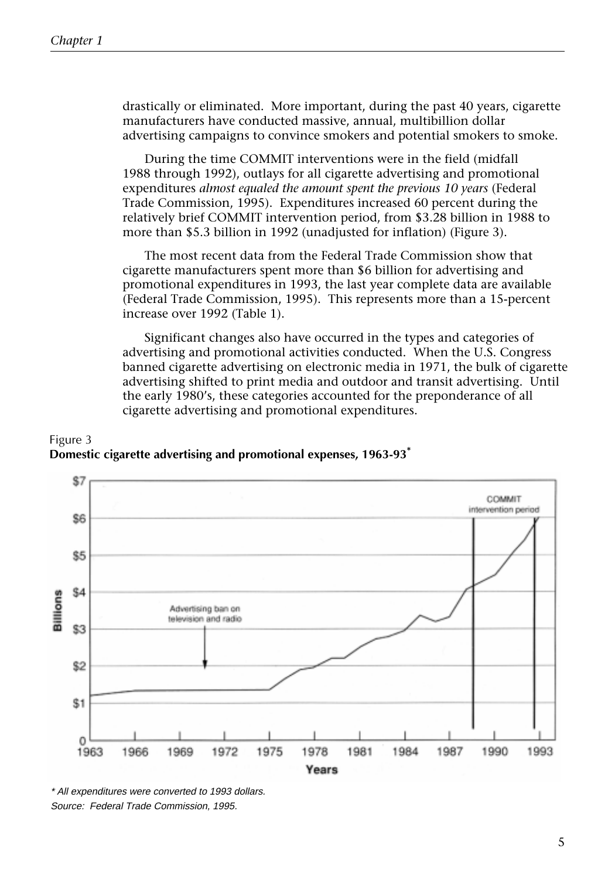drastically or eliminated. More important, during the past 40 years, cigarette manufacturers have conducted massive, annual, multibillion dollar advertising campaigns to convince smokers and potential smokers to smoke.

During the time COMMIT interventions were in the field (midfall 1988 through 1992), outlays for all cigarette advertising and promotional expenditures *almost equaled the amount spent the previous 10 years* (Federal Trade Commission, 1995). Expenditures increased 60 percent during the relatively brief COMMIT intervention period, from \$3.28 billion in 1988 to more than \$5.3 billion in 1992 (unadjusted for inflation) (Figure 3).

The most recent data from the Federal Trade Commission show that cigarette manufacturers spent more than \$6 billion for advertising and promotional expenditures in 1993, the last year complete data are available (Federal Trade Commission, 1995). This represents more than a 15-percent increase over 1992 (Table 1).

Significant changes also have occurred in the types and categories of advertising and promotional activities conducted. When the U.S. Congress banned cigarette advertising on electronic media in 1971, the bulk of cigarette advertising shifted to print media and outdoor and transit advertising. Until the early 1980's, these categories accounted for the preponderance of all cigarette advertising and promotional expenditures.



Figure 3 **Domestic cigarette advertising and promotional expenses, 1963-93\***

\* All expenditures were converted to 1993 dollars. Source: Federal Trade Commission, 1995.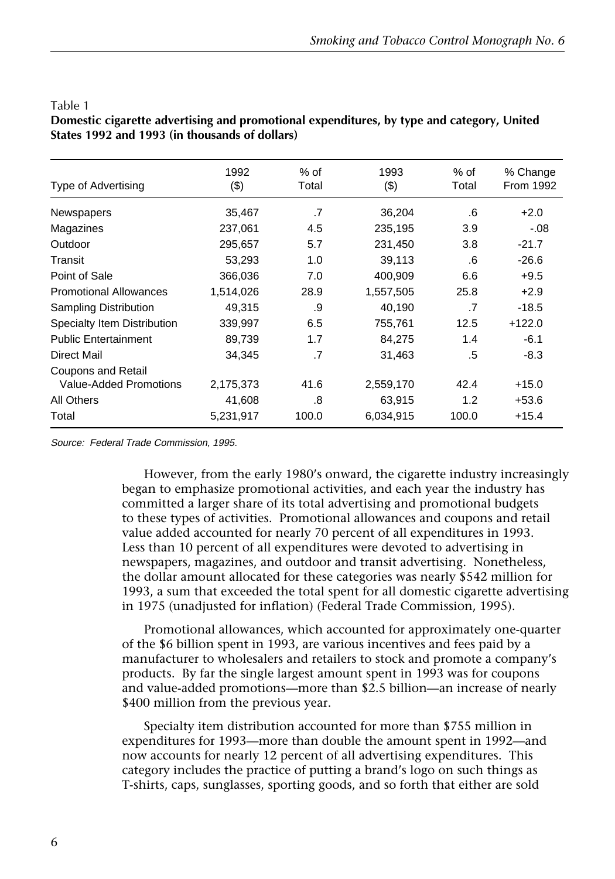| Type of Advertising           | 1992<br>(3) | $%$ of<br>Total | 1993<br>(3) | $%$ of<br>Total | % Change<br><b>From 1992</b> |
|-------------------------------|-------------|-----------------|-------------|-----------------|------------------------------|
| <b>Newspapers</b>             | 35,467      | .7              | 36,204      | .6              | $+2.0$                       |
| Magazines                     | 237,061     | 4.5             | 235,195     | 3.9             | $-.08$                       |
| Outdoor                       | 295,657     | 5.7             | 231,450     | 3.8             | $-21.7$                      |
| Transit                       | 53,293      | 1.0             | 39,113      | .6              | $-26.6$                      |
| Point of Sale                 | 366,036     | 7.0             | 400,909     | 6.6             | $+9.5$                       |
| <b>Promotional Allowances</b> | 1,514,026   | 28.9            | 1,557,505   | 25.8            | $+2.9$                       |
| Sampling Distribution         | 49,315      | .9              | 40,190      | .7              | $-18.5$                      |
| Specialty Item Distribution   | 339,997     | 6.5             | 755,761     | 12.5            | $+122.0$                     |
| <b>Public Entertainment</b>   | 89,739      | 1.7             | 84,275      | 1.4             | $-6.1$                       |
| Direct Mail                   | 34,345      | .7              | 31,463      | .5              | $-8.3$                       |
| Coupons and Retail            |             |                 |             |                 |                              |
| Value-Added Promotions        | 2,175,373   | 41.6            | 2,559,170   | 42.4            | $+15.0$                      |
| All Others                    | 41,608      | .8              | 63,915      | 1.2             | $+53.6$                      |
| Total                         | 5,231,917   | 100.0           | 6,034,915   | 100.0           | $+15.4$                      |

#### Table 1

**Domestic cigarette advertising and promotional expenditures, by type and category, United States 1992 and 1993 (in thousands of dollars)**

Source: Federal Trade Commission, 1995.

However, from the early 1980's onward, the cigarette industry increasingly began to emphasize promotional activities, and each year the industry has committed a larger share of its total advertising and promotional budgets to these types of activities. Promotional allowances and coupons and retail value added accounted for nearly 70 percent of all expenditures in 1993. Less than 10 percent of all expenditures were devoted to advertising in newspapers, magazines, and outdoor and transit advertising. Nonetheless, the dollar amount allocated for these categories was nearly \$542 million for 1993, a sum that exceeded the total spent for all domestic cigarette advertising in 1975 (unadjusted for inflation) (Federal Trade Commission, 1995).

Promotional allowances, which accounted for approximately one-quarter of the \$6 billion spent in 1993, are various incentives and fees paid by a manufacturer to wholesalers and retailers to stock and promote a company's products. By far the single largest amount spent in 1993 was for coupons and value-added promotions—more than \$2.5 billion—an increase of nearly \$400 million from the previous year.

Specialty item distribution accounted for more than \$755 million in expenditures for 1993—more than double the amount spent in 1992—and now accounts for nearly 12 percent of all advertising expenditures. This category includes the practice of putting a brand's logo on such things as T-shirts, caps, sunglasses, sporting goods, and so forth that either are sold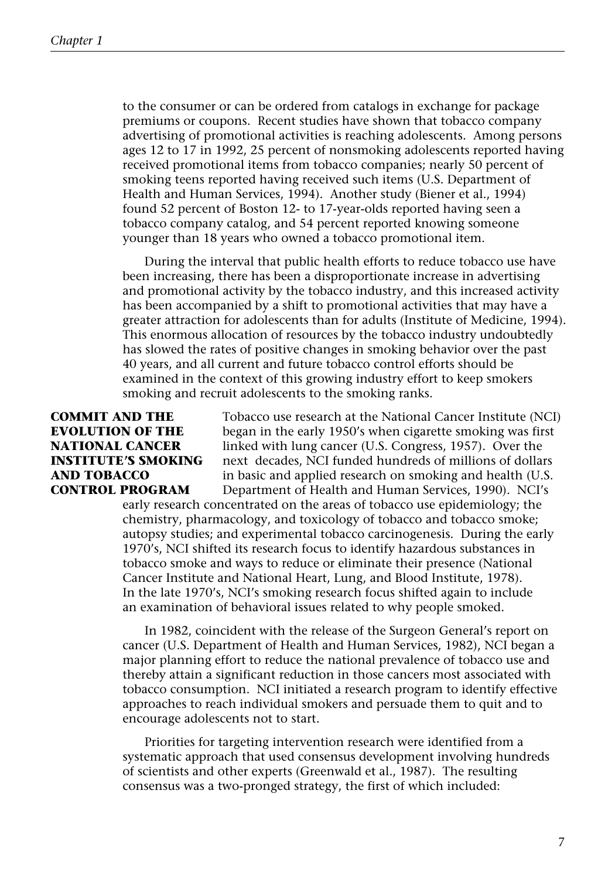to the consumer or can be ordered from catalogs in exchange for package premiums or coupons. Recent studies have shown that tobacco company advertising of promotional activities is reaching adolescents. Among persons ages 12 to 17 in 1992, 25 percent of nonsmoking adolescents reported having received promotional items from tobacco companies; nearly 50 percent of smoking teens reported having received such items (U.S. Department of Health and Human Services, 1994). Another study (Biener et al., 1994) found 52 percent of Boston 12- to 17-year-olds reported having seen a tobacco company catalog, and 54 percent reported knowing someone younger than 18 years who owned a tobacco promotional item.

During the interval that public health efforts to reduce tobacco use have been increasing, there has been a disproportionate increase in advertising and promotional activity by the tobacco industry, and this increased activity has been accompanied by a shift to promotional activities that may have a greater attraction for adolescents than for adults (Institute of Medicine, 1994). This enormous allocation of resources by the tobacco industry undoubtedly has slowed the rates of positive changes in smoking behavior over the past 40 years, and all current and future tobacco control efforts should be examined in the context of this growing industry effort to keep smokers smoking and recruit adolescents to the smoking ranks.

**COMMIT AND THE** Tobacco use research at the National Cancer Institute (NCI) **EVOLUTION OF THE** began in the early 1950's when cigarette smoking was first **NATIONAL CANCER** linked with lung cancer (U.S. Congress, 1957). Over the **INSTITUTE'S SMOKING** next decades, NCI funded hundreds of millions of dollars **AND TOBACCO** in basic and applied research on smoking and health (U.S. **CONTROL PROGRAM** Department of Health and Human Services, 1990). NCI's

early research concentrated on the areas of tobacco use epidemiology; the chemistry, pharmacology, and toxicology of tobacco and tobacco smoke; autopsy studies; and experimental tobacco carcinogenesis. During the early 1970's, NCI shifted its research focus to identify hazardous substances in tobacco smoke and ways to reduce or eliminate their presence (National Cancer Institute and National Heart, Lung, and Blood Institute, 1978). In the late 1970's, NCI's smoking research focus shifted again to include an examination of behavioral issues related to why people smoked.

In 1982, coincident with the release of the Surgeon General's report on cancer (U.S. Department of Health and Human Services, 1982), NCI began a major planning effort to reduce the national prevalence of tobacco use and thereby attain a significant reduction in those cancers most associated with tobacco consumption. NCI initiated a research program to identify effective approaches to reach individual smokers and persuade them to quit and to encourage adolescents not to start.

Priorities for targeting intervention research were identified from a systematic approach that used consensus development involving hundreds of scientists and other experts (Greenwald et al., 1987). The resulting consensus was a two-pronged strategy, the first of which included: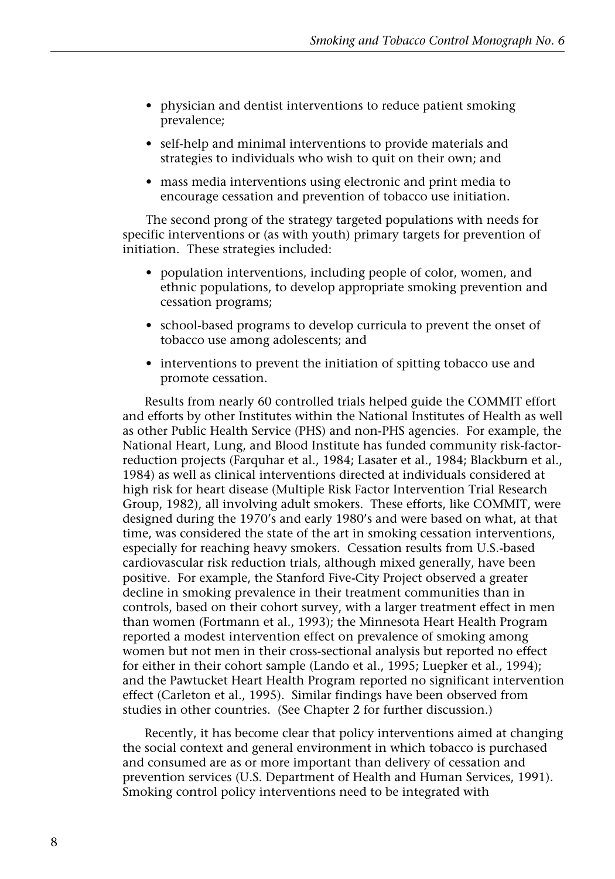- physician and dentist interventions to reduce patient smoking prevalence;
- self-help and minimal interventions to provide materials and strategies to individuals who wish to quit on their own; and
- mass media interventions using electronic and print media to encourage cessation and prevention of tobacco use initiation.

The second prong of the strategy targeted populations with needs for specific interventions or (as with youth) primary targets for prevention of initiation. These strategies included:

- population interventions, including people of color, women, and ethnic populations, to develop appropriate smoking prevention and cessation programs;
- school-based programs to develop curricula to prevent the onset of tobacco use among adolescents; and
- interventions to prevent the initiation of spitting tobacco use and promote cessation.

Results from nearly 60 controlled trials helped guide the COMMIT effort and efforts by other Institutes within the National Institutes of Health as well as other Public Health Service (PHS) and non-PHS agencies. For example, the National Heart, Lung, and Blood Institute has funded community risk-factorreduction projects (Farquhar et al., 1984; Lasater et al., 1984; Blackburn et al., 1984) as well as clinical interventions directed at individuals considered at high risk for heart disease (Multiple Risk Factor Intervention Trial Research Group, 1982), all involving adult smokers. These efforts, like COMMIT, were designed during the 1970's and early 1980's and were based on what, at that time, was considered the state of the art in smoking cessation interventions, especially for reaching heavy smokers. Cessation results from U.S.-based cardiovascular risk reduction trials, although mixed generally, have been positive. For example, the Stanford Five-City Project observed a greater decline in smoking prevalence in their treatment communities than in controls, based on their cohort survey, with a larger treatment effect in men than women (Fortmann et al., 1993); the Minnesota Heart Health Program reported a modest intervention effect on prevalence of smoking among women but not men in their cross-sectional analysis but reported no effect for either in their cohort sample (Lando et al., 1995; Luepker et al., 1994); and the Pawtucket Heart Health Program reported no significant intervention effect (Carleton et al., 1995). Similar findings have been observed from studies in other countries. (See Chapter 2 for further discussion.)

Recently, it has become clear that policy interventions aimed at changing the social context and general environment in which tobacco is purchased and consumed are as or more important than delivery of cessation and prevention services (U.S. Department of Health and Human Services, 1991). Smoking control policy interventions need to be integrated with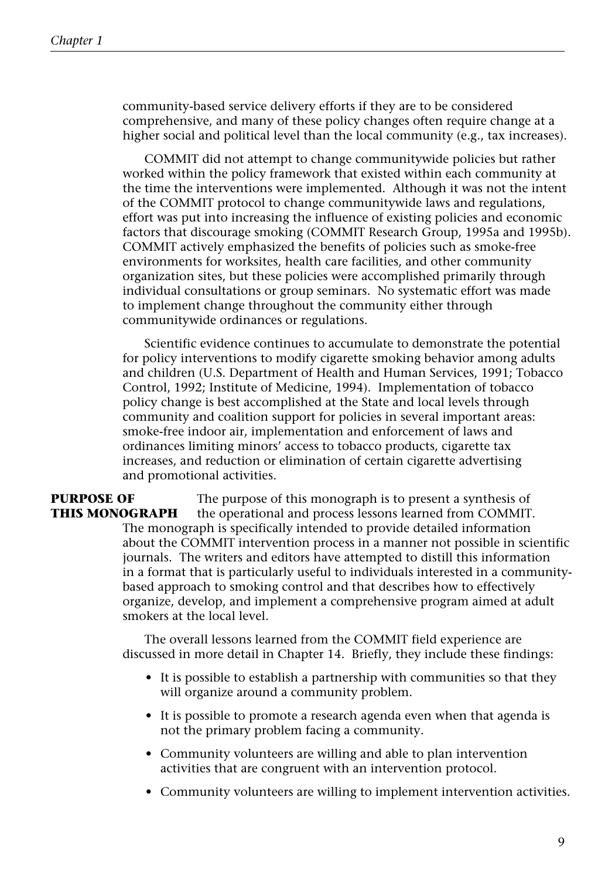community-based service delivery efforts if they are to be considered comprehensive, and many of these policy changes often require change at a higher social and political level than the local community (e.g., tax increases).

COMMIT did not attempt to change communitywide policies but rather worked within the policy framework that existed within each community at the time the interventions were implemented. Although it was not the intent of the COMMIT protocol to change communitywide laws and regulations, effort was put into increasing the influence of existing policies and economic factors that discourage smoking (COMMIT Research Group, 1995a and 1995b). COMMIT actively emphasized the benefits of policies such as smoke-free environments for worksites, health care facilities, and other community organization sites, but these policies were accomplished primarily through individual consultations or group seminars. No systematic effort was made to implement change throughout the community either through communitywide ordinances or regulations.

Scientific evidence continues to accumulate to demonstrate the potential for policy interventions to modify cigarette smoking behavior among adults and children (U.S. Department of Health and Human Services, 1991; Tobacco Control, 1992; Institute of Medicine, 1994). Implementation of tobacco policy change is best accomplished at the State and local levels through community and coalition support for policies in several important areas: smoke-free indoor air, implementation and enforcement of laws and ordinances limiting minors' access to tobacco products, cigarette tax increases, and reduction or elimination of certain cigarette advertising and promotional activities.

**PURPOSE OF** The purpose of this monograph is to present a synthesis of **THIS MONOGRAPH** the operational and process lessons learned from COMMIT. The monograph is specifically intended to provide detailed information about the COMMIT intervention process in a manner not possible in scientific journals. The writers and editors have attempted to distill this information in a format that is particularly useful to individuals interested in a communitybased approach to smoking control and that describes how to effectively organize, develop, and implement a comprehensive program aimed at adult smokers at the local level.

> The overall lessons learned from the COMMIT field experience are discussed in more detail in Chapter 14. Briefly, they include these findings:

- It is possible to establish a partnership with communities so that they will organize around a community problem.
- It is possible to promote a research agenda even when that agenda is not the primary problem facing a community.
- Community volunteers are willing and able to plan intervention activities that are congruent with an intervention protocol.
- Community volunteers are willing to implement intervention activities.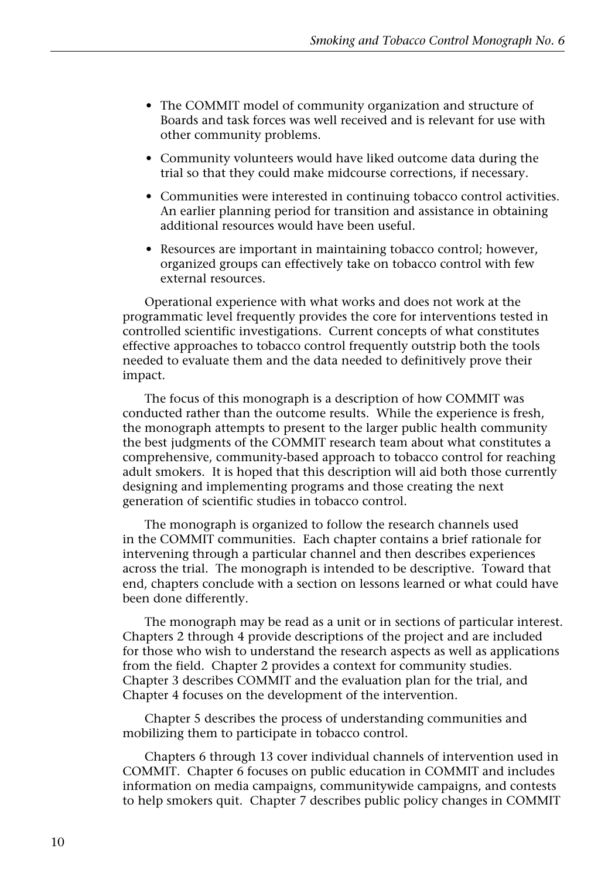- The COMMIT model of community organization and structure of Boards and task forces was well received and is relevant for use with other community problems.
- Community volunteers would have liked outcome data during the trial so that they could make midcourse corrections, if necessary.
- Communities were interested in continuing tobacco control activities. An earlier planning period for transition and assistance in obtaining additional resources would have been useful.
- Resources are important in maintaining tobacco control; however, organized groups can effectively take on tobacco control with few external resources.

Operational experience with what works and does not work at the programmatic level frequently provides the core for interventions tested in controlled scientific investigations. Current concepts of what constitutes effective approaches to tobacco control frequently outstrip both the tools needed to evaluate them and the data needed to definitively prove their impact.

The focus of this monograph is a description of how COMMIT was conducted rather than the outcome results. While the experience is fresh, the monograph attempts to present to the larger public health community the best judgments of the COMMIT research team about what constitutes a comprehensive, community-based approach to tobacco control for reaching adult smokers. It is hoped that this description will aid both those currently designing and implementing programs and those creating the next generation of scientific studies in tobacco control.

The monograph is organized to follow the research channels used in the COMMIT communities. Each chapter contains a brief rationale for intervening through a particular channel and then describes experiences across the trial. The monograph is intended to be descriptive. Toward that end, chapters conclude with a section on lessons learned or what could have been done differently.

The monograph may be read as a unit or in sections of particular interest. Chapters 2 through 4 provide descriptions of the project and are included for those who wish to understand the research aspects as well as applications from the field. Chapter 2 provides a context for community studies. Chapter 3 describes COMMIT and the evaluation plan for the trial, and Chapter 4 focuses on the development of the intervention.

Chapter 5 describes the process of understanding communities and mobilizing them to participate in tobacco control.

Chapters 6 through 13 cover individual channels of intervention used in COMMIT. Chapter 6 focuses on public education in COMMIT and includes information on media campaigns, communitywide campaigns, and contests to help smokers quit. Chapter 7 describes public policy changes in COMMIT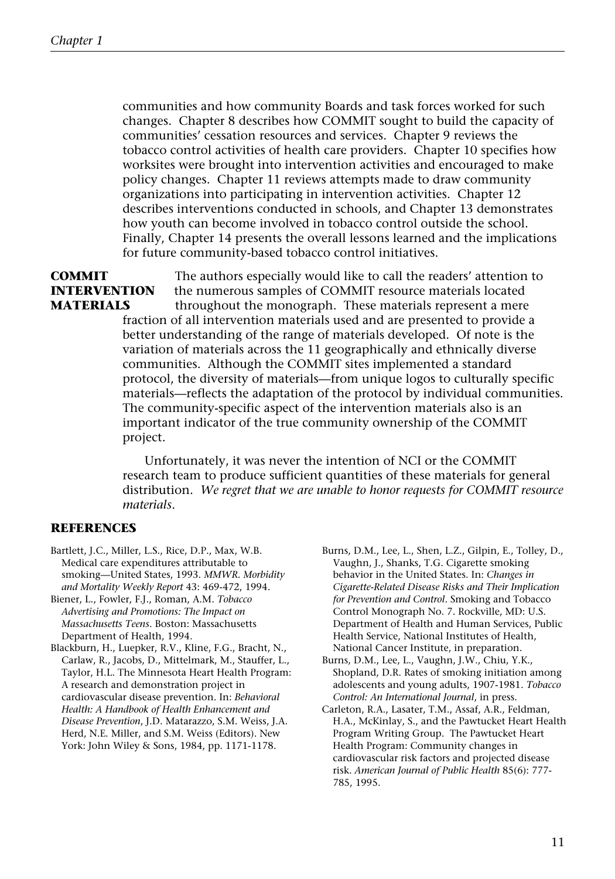communities and how community Boards and task forces worked for such changes. Chapter 8 describes how COMMIT sought to build the capacity of communities' cessation resources and services. Chapter 9 reviews the tobacco control activities of health care providers. Chapter 10 specifies how worksites were brought into intervention activities and encouraged to make policy changes. Chapter 11 reviews attempts made to draw community organizations into participating in intervention activities. Chapter 12 describes interventions conducted in schools, and Chapter 13 demonstrates how youth can become involved in tobacco control outside the school. Finally, Chapter 14 presents the overall lessons learned and the implications for future community-based tobacco control initiatives.

**COMMIT** The authors especially would like to call the readers' attention to **INTERVENTION** the numerous samples of COMMIT resource materials located **MATERIALS** throughout the monograph. These materials represent a mere fraction of all intervention materials used and are presented to provide a better understanding of the range of materials developed. Of note is the variation of materials across the 11 geographically and ethnically diverse communities. Although the COMMIT sites implemented a standard protocol, the diversity of materials—from unique logos to culturally specific materials—reflects the adaptation of the protocol by individual communities. The community-specific aspect of the intervention materials also is an important indicator of the true community ownership of the COMMIT project.

> Unfortunately, it was never the intention of NCI or the COMMIT research team to produce sufficient quantities of these materials for general distribution. *We regret that we are unable to honor requests for COMMIT resource materials*.

### **REFERENCES**

- Bartlett, J.C., Miller, L.S., Rice, D.P., Max, W.B. Medical care expenditures attributable to smoking—United States, 1993. *MMWR. Morbidity and Mortality Weekly Report* 43: 469-472, 1994.
- Biener, L., Fowler, F.J., Roman, A.M. *Tobacco Advertising and Promotions: The Impact on Massachusetts Teens*. Boston: Massachusetts Department of Health, 1994.
- Blackburn, H., Luepker, R.V., Kline, F.G., Bracht, N., Carlaw, R., Jacobs, D., Mittelmark, M., Stauffer, L., Taylor, H.L. The Minnesota Heart Health Program: A research and demonstration project in cardiovascular disease prevention. In: *Behavioral Health: A Handbook of Health Enhancement and Disease Prevention*, J.D. Matarazzo, S.M. Weiss, J.A. Herd, N.E. Miller, and S.M. Weiss (Editors). New York: John Wiley & Sons, 1984, pp. 1171-1178.
- Burns, D.M., Lee, L., Shen, L.Z., Gilpin, E., Tolley, D., Vaughn, J., Shanks, T.G. Cigarette smoking behavior in the United States. In: *Changes in Cigarette-Related Disease Risks and Their Implication for Prevention and Control*. Smoking and Tobacco Control Monograph No. 7. Rockville, MD: U.S. Department of Health and Human Services, Public Health Service, National Institutes of Health, National Cancer Institute, in preparation.
- Burns, D.M., Lee, L., Vaughn, J.W., Chiu, Y.K., Shopland, D.R. Rates of smoking initiation among adolescents and young adults, 1907-1981. *Tobacco Control: An International Journal*, in press.
- Carleton, R.A., Lasater, T.M., Assaf, A.R., Feldman, H.A., McKinlay, S., and the Pawtucket Heart Health Program Writing Group. The Pawtucket Heart Health Program: Community changes in cardiovascular risk factors and projected disease risk. *American Journal of Public Health* 85(6): 777- 785, 1995.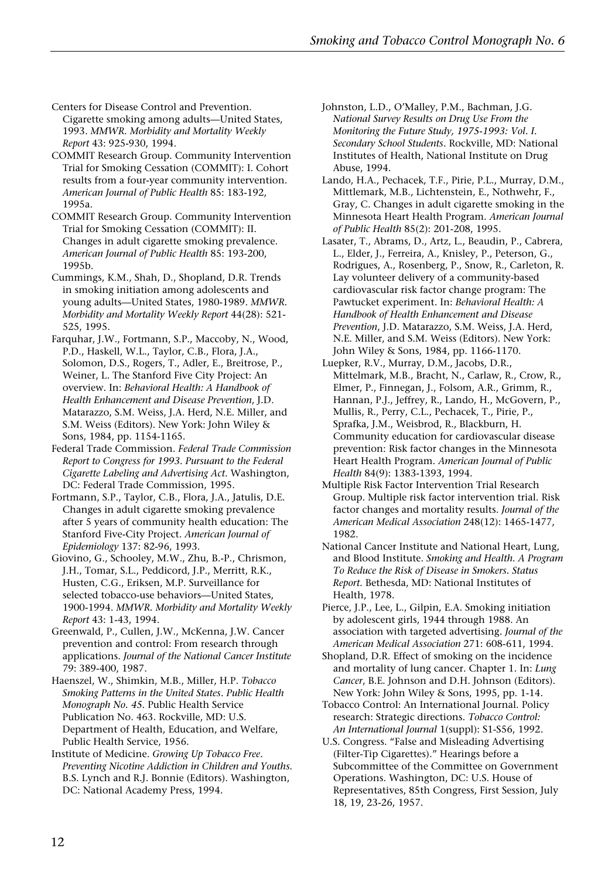- Centers for Disease Control and Prevention. Cigarette smoking among adults—United States, 1993. *MMWR. Morbidity and Mortality Weekly Report* 43: 925-930, 1994.
- COMMIT Research Group. Community Intervention Trial for Smoking Cessation (COMMIT): I. Cohort results from a four-year community intervention. *American Journal of Public Health* 85: 183-192, 1995a.
- COMMIT Research Group. Community Intervention Trial for Smoking Cessation (COMMIT): II. Changes in adult cigarette smoking prevalence. *American Journal of Public Health* 85: 193-200, 1995b.
- Cummings, K.M., Shah, D., Shopland, D.R. Trends in smoking initiation among adolescents and young adults—United States, 1980-1989. *MMWR. Morbidity and Mortality Weekly Report* 44(28): 521- 525, 1995.
- Farquhar, J.W., Fortmann, S.P., Maccoby, N., Wood, P.D., Haskell, W.L., Taylor, C.B., Flora, J.A., Solomon, D.S., Rogers, T., Adler, E., Breitrose, P., Weiner, L. The Stanford Five City Project: An overview. In: *Behavioral Health: A Handbook of Health Enhancement and Disease Prevention*, J.D. Matarazzo, S.M. Weiss, J.A. Herd, N.E. Miller, and S.M. Weiss (Editors). New York: John Wiley & Sons, 1984, pp. 1154-1165.
- Federal Trade Commission. *Federal Trade Commission Report to Congress for 1993. Pursuant to the Federal Cigarette Labeling and Advertising Act*. Washington, DC: Federal Trade Commission, 1995.
- Fortmann, S.P., Taylor, C.B., Flora, J.A., Jatulis, D.E. Changes in adult cigarette smoking prevalence after 5 years of community health education: The Stanford Five-City Project. *American Journal of Epidemiology* 137: 82-96, 1993.
- Giovino, G., Schooley, M.W., Zhu, B.-P., Chrismon, J.H., Tomar, S.L., Peddicord, J.P., Merritt, R.K., Husten, C.G., Eriksen, M.P. Surveillance for selected tobacco-use behaviors—United States, 1900-1994. *MMWR. Morbidity and Mortality Weekly Report* 43: 1-43, 1994.
- Greenwald, P., Cullen, J.W., McKenna, J.W. Cancer prevention and control: From research through applications. *Journal of the National Cancer Institute* 79: 389-400, 1987.
- Haenszel, W., Shimkin, M.B., Miller, H.P. *Tobacco Smoking Patterns in the United States. Public Health Monograph No. 45*. Public Health Service Publication No. 463. Rockville, MD: U.S. Department of Health, Education, and Welfare, Public Health Service, 1956.
- Institute of Medicine. *Growing Up Tobacco Free. Preventing Nicotine Addiction in Children and Youths*. B.S. Lynch and R.J. Bonnie (Editors). Washington, DC: National Academy Press, 1994.
- Johnston, L.D., O'Malley, P.M., Bachman, J.G. *National Survey Results on Drug Use From the Monitoring the Future Study, 1975-1993: Vol. I. Secondary School Students*. Rockville, MD: National Institutes of Health, National Institute on Drug Abuse, 1994.
- Lando, H.A., Pechacek, T.F., Pirie, P.L., Murray, D.M., Mittlemark, M.B., Lichtenstein, E., Nothwehr, F., Gray, C. Changes in adult cigarette smoking in the Minnesota Heart Health Program. *American Journal of Public Health* 85(2): 201-208, 1995.
- Lasater, T., Abrams, D., Artz, L., Beaudin, P., Cabrera, L., Elder, J., Ferreira, A., Knisley, P., Peterson, G., Rodrigues, A., Rosenberg, P., Snow, R., Carleton, R. Lay volunteer delivery of a community-based cardiovascular risk factor change program: The Pawtucket experiment. In: *Behavioral Health: A Handbook of Health Enhancement and Disease Prevention*, J.D. Matarazzo, S.M. Weiss, J.A. Herd, N.E. Miller, and S.M. Weiss (Editors). New York: John Wiley & Sons, 1984, pp. 1166-1170.
- Luepker, R.V., Murray, D.M., Jacobs, D.R., Mittelmark, M.B., Bracht, N., Carlaw, R., Crow, R., Elmer, P., Finnegan, J., Folsom, A.R., Grimm, R., Hannan, P.J., Jeffrey, R., Lando, H., McGovern, P., Mullis, R., Perry, C.L., Pechacek, T., Pirie, P., Sprafka, J.M., Weisbrod, R., Blackburn, H. Community education for cardiovascular disease prevention: Risk factor changes in the Minnesota Heart Health Program. *American Journal of Public Health* 84(9): 1383-1393, 1994.
- Multiple Risk Factor Intervention Trial Research Group. Multiple risk factor intervention trial. Risk factor changes and mortality results. *Journal of the American Medical Association* 248(12): 1465-1477, 1982.
- National Cancer Institute and National Heart, Lung, and Blood Institute. *Smoking and Health. A Program To Reduce the Risk of Disease in Smokers. Status Report*. Bethesda, MD: National Institutes of Health, 1978.
- Pierce, J.P., Lee, L., Gilpin, E.A. Smoking initiation by adolescent girls, 1944 through 1988. An association with targeted advertising. *Journal of the American Medical Association* 271: 608-611, 1994.
- Shopland, D.R. Effect of smoking on the incidence and mortality of lung cancer. Chapter 1. In: *Lung Cancer*, B.E. Johnson and D.H. Johnson (Editors). New York: John Wiley & Sons, 1995, pp. 1-14.
- Tobacco Control: An International Journal. Policy research: Strategic directions. *Tobacco Control: An International Journal* 1(suppl): S1-S56, 1992.
- U.S. Congress. "False and Misleading Advertising (Filter-Tip Cigarettes)." Hearings before a Subcommittee of the Committee on Government Operations. Washington, DC: U.S. House of Representatives, 85th Congress, First Session, July 18, 19, 23-26, 1957.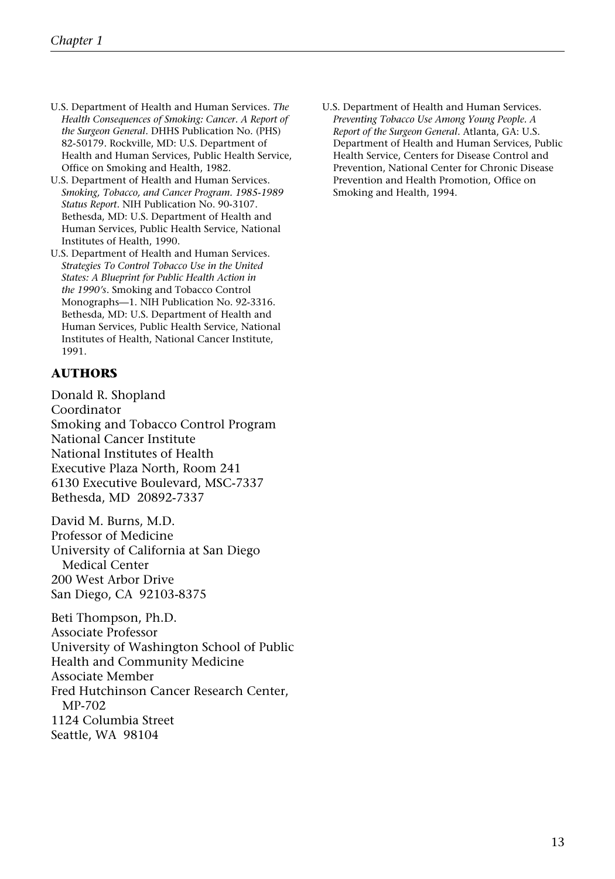- U.S. Department of Health and Human Services. *The Health Consequences of Smoking: Cancer. A Report of the Surgeon General*. DHHS Publication No. (PHS) 82-50179. Rockville, MD: U.S. Department of Health and Human Services, Public Health Service, Office on Smoking and Health, 1982.
- U.S. Department of Health and Human Services. *Smoking, Tobacco, and Cancer Program. 1985-1989 Status Report*. NIH Publication No. 90-3107. Bethesda, MD: U.S. Department of Health and Human Services, Public Health Service, National Institutes of Health, 1990.
- U.S. Department of Health and Human Services. *Strategies To Control Tobacco Use in the United States: A Blueprint for Public Health Action in the 1990's*. Smoking and Tobacco Control Monographs—1. NIH Publication No. 92-3316. Bethesda, MD: U.S. Department of Health and Human Services, Public Health Service, National Institutes of Health, National Cancer Institute, 1991.

## **AUTHORS**

Donald R. Shopland

Coordinator

Smoking and Tobacco Control Program National Cancer Institute National Institutes of Health Executive Plaza North, Room 241 6130 Executive Boulevard, MSC-7337 Bethesda, MD 20892-7337

David M. Burns, M.D. Professor of Medicine University of California at San Diego Medical Center 200 West Arbor Drive San Diego, CA 92103-8375

Beti Thompson, Ph.D. Associate Professor University of Washington School of Public Health and Community Medicine Associate Member Fred Hutchinson Cancer Research Center, MP-702 1124 Columbia Street Seattle, WA 98104

U.S. Department of Health and Human Services. *Preventing Tobacco Use Among Young People. A Report of the Surgeon General*. Atlanta, GA: U.S. Department of Health and Human Services, Public Health Service, Centers for Disease Control and Prevention, National Center for Chronic Disease Prevention and Health Promotion, Office on Smoking and Health, 1994.